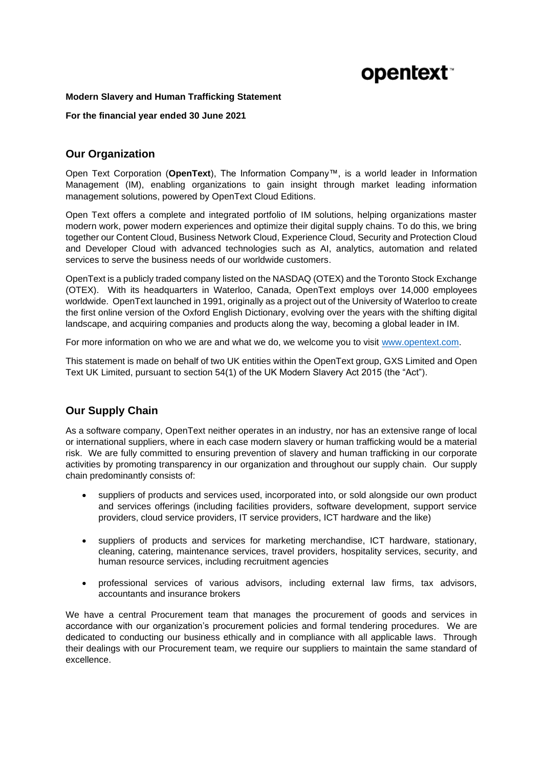# **opentext**

#### **Modern Slavery and Human Trafficking Statement**

**For the financial year ended 30 June 2021**

## **Our Organization**

Open Text Corporation (**OpenText**), The Information Company™, is a world leader in Information Management (IM), enabling organizations to gain insight through market leading information management solutions, powered by OpenText Cloud Editions.

Open Text offers a complete and integrated portfolio of IM solutions, helping organizations master modern work, power modern experiences and optimize their digital supply chains. To do this, we bring together our Content Cloud, Business Network Cloud, Experience Cloud, Security and Protection Cloud and Developer Cloud with advanced technologies such as AI, analytics, automation and related services to serve the business needs of our worldwide customers.

OpenText is a publicly traded company listed on the NASDAQ (OTEX) and the Toronto Stock Exchange (OTEX). With its headquarters in Waterloo, Canada, OpenText employs over 14,000 employees worldwide. OpenText launched in 1991, originally as a project out of the University of Waterloo to create the first online version of the Oxford English Dictionary, evolving over the years with the shifting digital landscape, and acquiring companies and products along the way, becoming a global leader in IM.

For more information on who we are and what we do, we welcome you to visit [www.opentext.com.](http://www.opentext.com/)

This statement is made on behalf of two UK entities within the OpenText group, GXS Limited and Open Text UK Limited, pursuant to section 54(1) of the UK Modern Slavery Act 2015 (the "Act").

# **Our Supply Chain**

As a software company, OpenText neither operates in an industry, nor has an extensive range of local or international suppliers, where in each case modern slavery or human trafficking would be a material risk. We are fully committed to ensuring prevention of slavery and human trafficking in our corporate activities by promoting transparency in our organization and throughout our supply chain. Our supply chain predominantly consists of:

- suppliers of products and services used, incorporated into, or sold alongside our own product and services offerings (including facilities providers, software development, support service providers, cloud service providers, IT service providers, ICT hardware and the like)
- suppliers of products and services for marketing merchandise, ICT hardware, stationary, cleaning, catering, maintenance services, travel providers, hospitality services, security, and human resource services, including recruitment agencies
- professional services of various advisors, including external law firms, tax advisors, accountants and insurance brokers

We have a central Procurement team that manages the procurement of goods and services in accordance with our organization's procurement policies and formal tendering procedures. We are dedicated to conducting our business ethically and in compliance with all applicable laws. Through their dealings with our Procurement team, we require our suppliers to maintain the same standard of excellence.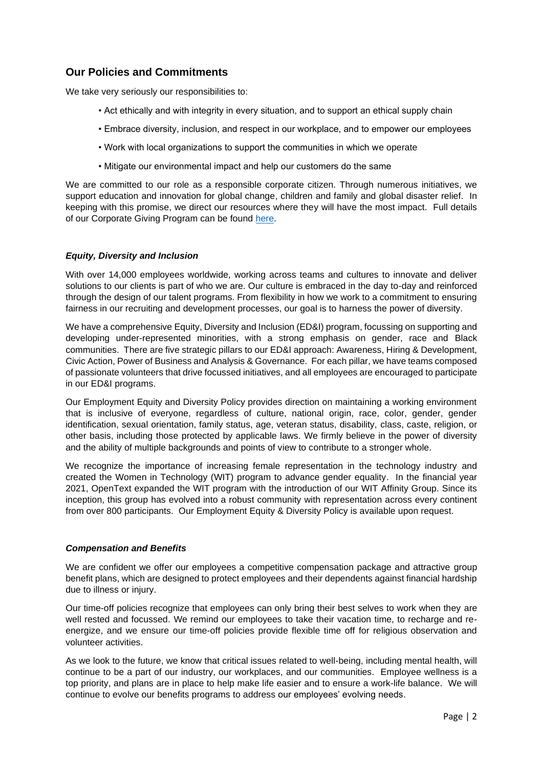## **Our Policies and Commitments**

We take very seriously our responsibilities to:

- Act ethically and with integrity in every situation, and to support an ethical supply chain
- Embrace diversity, inclusion, and respect in our workplace, and to empower our employees
- Work with local organizations to support the communities in which we operate
- Mitigate our environmental impact and help our customers do the same

We are committed to our role as a responsible corporate citizen. Through numerous initiatives, we support education and innovation for global change, children and family and global disaster relief. In keeping with this promise, we direct our resources where they will have the most impact. Full details of our Corporate Giving Program can be found [here.](https://www.opentext.com/about/opentext-corporate-giving-program)

#### *Equity, Diversity and Inclusion*

With over 14,000 employees worldwide, working across teams and cultures to innovate and deliver solutions to our clients is part of who we are. Our culture is embraced in the day to-day and reinforced through the design of our talent programs. From flexibility in how we work to a commitment to ensuring fairness in our recruiting and development processes, our goal is to harness the power of diversity.

We have a comprehensive Equity, Diversity and Inclusion (ED&I) program, focussing on supporting and developing under-represented minorities, with a strong emphasis on gender, race and Black communities. There are five strategic pillars to our ED&I approach: Awareness, Hiring & Development, Civic Action, Power of Business and Analysis & Governance. For each pillar, we have teams composed of passionate volunteers that drive focussed initiatives, and all employees are encouraged to participate in our ED&I programs.

Our Employment Equity and Diversity Policy provides direction on maintaining a working environment that is inclusive of everyone, regardless of culture, national origin, race, color, gender, gender identification, sexual orientation, family status, age, veteran status, disability, class, caste, religion, or other basis, including those protected by applicable laws. We firmly believe in the power of diversity and the ability of multiple backgrounds and points of view to contribute to a stronger whole.

We recognize the importance of increasing female representation in the technology industry and created the Women in Technology (WIT) program to advance gender equality. In the financial year 2021, OpenText expanded the WIT program with the introduction of our WIT Affinity Group. Since its inception, this group has evolved into a robust community with representation across every continent from over 800 participants. Our Employment Equity & Diversity Policy is available upon request.

#### *Compensation and Benefits*

We are confident we offer our employees a competitive compensation package and attractive group benefit plans, which are designed to protect employees and their dependents against financial hardship due to illness or injury.

Our time-off policies recognize that employees can only bring their best selves to work when they are well rested and focussed. We remind our employees to take their vacation time, to recharge and reenergize, and we ensure our time-off policies provide flexible time off for religious observation and volunteer activities.

As we look to the future, we know that critical issues related to well-being, including mental health, will continue to be a part of our industry, our workplaces, and our communities. Employee wellness is a top priority, and plans are in place to help make life easier and to ensure a work-life balance. We will continue to evolve our benefits programs to address our employees' evolving needs.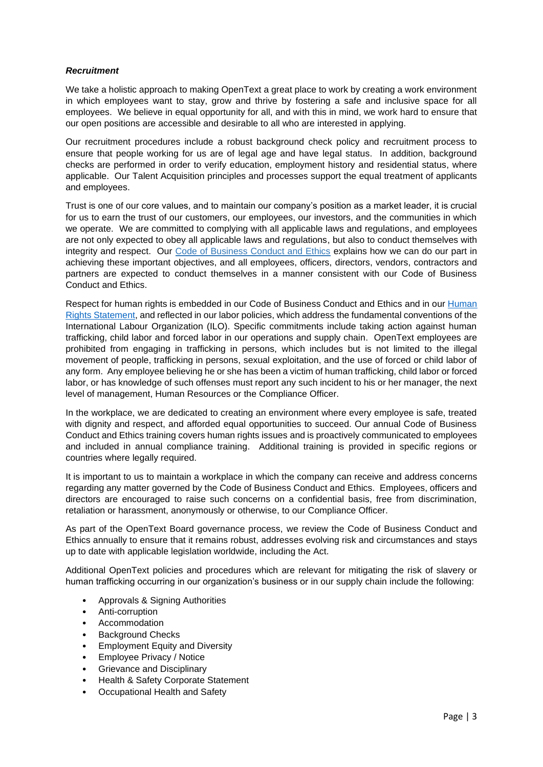#### *Recruitment*

We take a holistic approach to making OpenText a great place to work by creating a work environment in which employees want to stay, grow and thrive by fostering a safe and inclusive space for all employees. We believe in equal opportunity for all, and with this in mind, we work hard to ensure that our open positions are accessible and desirable to all who are interested in applying.

Our recruitment procedures include a robust background check policy and recruitment process to ensure that people working for us are of legal age and have legal status. In addition, background checks are performed in order to verify education, employment history and residential status, where applicable. Our Talent Acquisition principles and processes support the equal treatment of applicants and employees.

Trust is one of our core values, and to maintain our company's position as a market leader, it is crucial for us to earn the trust of our customers, our employees, our investors, and the communities in which we operate. We are committed to complying with all applicable laws and regulations, and employees are not only expected to obey all applicable laws and regulations, but also to conduct themselves with integrity and respect. Our [Code of Business Conduct and Ethics](https://www.opentext.com/file_source/OpenText/en_US/PDF/opentext-code-of-conduct-document.pdf) explains how we can do our part in achieving these important objectives, and all employees, officers, directors, vendors, contractors and partners are expected to conduct themselves in a manner consistent with our Code of Business Conduct and Ethics.

Respect for human rights is embedded in our Code of Business Conduct and Ethics and in our [Human](https://www.opentext.com/file_source/OpenText/en_US/PDF/opentext-human-rights-statement.pdf)  [Rights Statement,](https://www.opentext.com/file_source/OpenText/en_US/PDF/opentext-human-rights-statement.pdf) and reflected in our labor policies, which address the fundamental conventions of the International Labour Organization (ILO). Specific commitments include taking action against human trafficking, child labor and forced labor in our operations and supply chain. OpenText employees are prohibited from engaging in trafficking in persons, which includes but is not limited to the illegal movement of people, trafficking in persons, sexual exploitation, and the use of forced or child labor of any form. Any employee believing he or she has been a victim of human trafficking, child labor or forced labor, or has knowledge of such offenses must report any such incident to his or her manager, the next level of management, Human Resources or the Compliance Officer.

In the workplace, we are dedicated to creating an environment where every employee is safe, treated with dignity and respect, and afforded equal opportunities to succeed. Our annual Code of Business Conduct and Ethics training covers human rights issues and is proactively communicated to employees and included in annual compliance training. Additional training is provided in specific regions or countries where legally required.

It is important to us to maintain a workplace in which the company can receive and address concerns regarding any matter governed by the Code of Business Conduct and Ethics. Employees, officers and directors are encouraged to raise such concerns on a confidential basis, free from discrimination, retaliation or harassment, anonymously or otherwise, to our Compliance Officer.

As part of the OpenText Board governance process, we review the Code of Business Conduct and Ethics annually to ensure that it remains robust, addresses evolving risk and circumstances and stays up to date with applicable legislation worldwide, including the Act.

Additional OpenText policies and procedures which are relevant for mitigating the risk of slavery or human trafficking occurring in our organization's business or in our supply chain include the following:

- Approvals & Signing Authorities
- Anti-corruption
- Accommodation
- Background Checks
- Employment Equity and Diversity
- Employee Privacy / Notice
- Grievance and Disciplinary
- Health & Safety Corporate Statement
- Occupational Health and Safety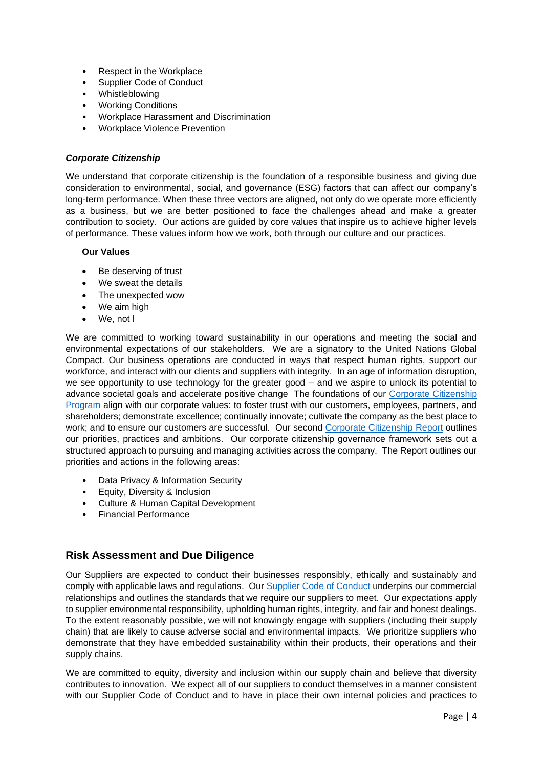- Respect in the Workplace
- Supplier Code of Conduct
- Whistleblowing
- Working Conditions
- Workplace Harassment and Discrimination
- Workplace Violence Prevention

#### *Corporate Citizenship*

We understand that corporate citizenship is the foundation of a responsible business and giving due consideration to environmental, social, and governance (ESG) factors that can affect our company's long-term performance. When these three vectors are aligned, not only do we operate more efficiently as a business, but we are better positioned to face the challenges ahead and make a greater contribution to society. Our actions are guided by core values that inspire us to achieve higher levels of performance. These values inform how we work, both through our culture and our practices.

#### **Our Values**

- Be deserving of trust
- We sweat the details
- The unexpected wow
- We aim high
- We, not I

We are committed to working toward sustainability in our operations and meeting the social and environmental expectations of our stakeholders. We are a signatory to the United Nations Global Compact. Our business operations are conducted in ways that respect human rights, support our workforce, and interact with our clients and suppliers with integrity. In an age of information disruption, we see opportunity to use technology for the greater good – and we aspire to unlock its potential to advance societal goals and accelerate positive change The foundations of our Corporate [Citizenship](https://www.opentext.com/about/corporate-citizenship) [Program](https://www.opentext.com/about/corporate-citizenship) align with our corporate values: to foster trust with our customers, employees, partners, and shareholders; demonstrate excellence; continually innovate; cultivate the company as the best place to work; and to ensure our customers are successful. Our second [Corporate Citizenship Report](https://www.opentext.co.uk/file_source/OpenText/en_US/PDF/opentext-corporate-citizenship-report-fy21-final-en.pdf) outlines our priorities, practices and ambitions. Our corporate citizenship governance framework sets out a structured approach to pursuing and managing activities across the company. The Report outlines our priorities and actions in the following areas:

- Data Privacy & Information Security
- Equity, Diversity & Inclusion
- Culture & Human Capital Development
- Financial Performance

## **Risk Assessment and Due Diligence**

Our Suppliers are expected to conduct their businesses responsibly, ethically and sustainably and comply with applicable laws and regulations. Our [Supplier Code of Conduct](https://www.opentext.com/file_source/OpenText/en_US/PDF/opentext-legal-supplier-code-business-conduct.pdf) underpins our commercial relationships and outlines the standards that we require our suppliers to meet. Our expectations apply to supplier environmental responsibility, upholding human rights, integrity, and fair and honest dealings. To the extent reasonably possible, we will not knowingly engage with suppliers (including their supply chain) that are likely to cause adverse social and environmental impacts. We prioritize suppliers who demonstrate that they have embedded sustainability within their products, their operations and their supply chains.

We are committed to equity, diversity and inclusion within our supply chain and believe that diversity contributes to innovation. We expect all of our suppliers to conduct themselves in a manner consistent with our Supplier Code of Conduct and to have in place their own internal policies and practices to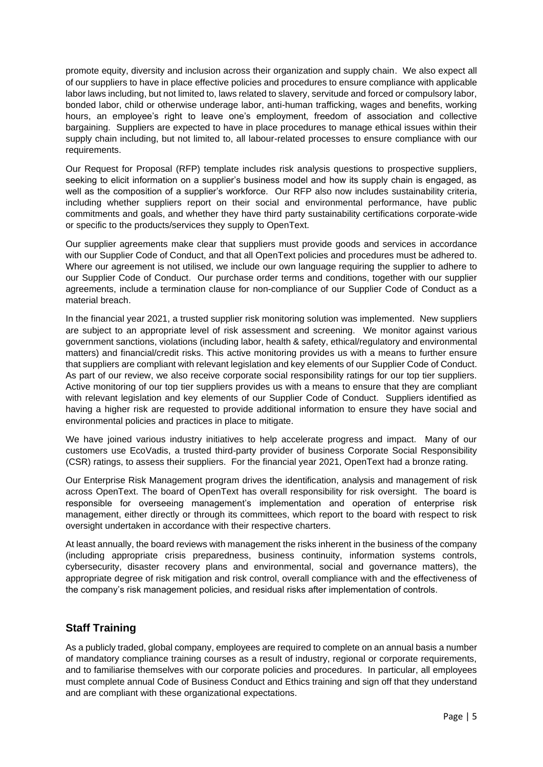promote equity, diversity and inclusion across their organization and supply chain. We also expect all of our suppliers to have in place effective policies and procedures to ensure compliance with applicable labor laws including, but not limited to, laws related to slavery, servitude and forced or compulsory labor, bonded labor, child or otherwise underage labor, anti-human trafficking, wages and benefits, working hours, an employee's right to leave one's employment, freedom of association and collective bargaining. Suppliers are expected to have in place procedures to manage ethical issues within their supply chain including, but not limited to, all labour-related processes to ensure compliance with our requirements.

Our Request for Proposal (RFP) template includes risk analysis questions to prospective suppliers, seeking to elicit information on a supplier's business model and how its supply chain is engaged, as well as the composition of a supplier's workforce. Our RFP also now includes sustainability criteria, including whether suppliers report on their social and environmental performance, have public commitments and goals, and whether they have third party sustainability certifications corporate-wide or specific to the products/services they supply to OpenText.

Our supplier agreements make clear that suppliers must provide goods and services in accordance with our Supplier Code of Conduct, and that all OpenText policies and procedures must be adhered to. Where our agreement is not utilised, we include our own language requiring the supplier to adhere to our Supplier Code of Conduct. Our purchase order terms and conditions, together with our supplier agreements, include a termination clause for non-compliance of our Supplier Code of Conduct as a material breach.

In the financial year 2021, a trusted supplier risk monitoring solution was implemented. New suppliers are subject to an appropriate level of risk assessment and screening. We monitor against various government sanctions, violations (including labor, health & safety, ethical/regulatory and environmental matters) and financial/credit risks. This active monitoring provides us with a means to further ensure that suppliers are compliant with relevant legislation and key elements of our Supplier Code of Conduct. As part of our review, we also receive corporate social responsibility ratings for our top tier suppliers. Active monitoring of our top tier suppliers provides us with a means to ensure that they are compliant with relevant legislation and key elements of our Supplier Code of Conduct. Suppliers identified as having a higher risk are requested to provide additional information to ensure they have social and environmental policies and practices in place to mitigate.

We have joined various industry initiatives to help accelerate progress and impact. Many of our customers use EcoVadis, a trusted third-party provider of business Corporate Social Responsibility (CSR) ratings, to assess their suppliers. For the financial year 2021, OpenText had a bronze rating.

Our Enterprise Risk Management program drives the identification, analysis and management of risk across OpenText. The board of OpenText has overall responsibility for risk oversight. The board is responsible for overseeing management's implementation and operation of enterprise risk management, either directly or through its committees, which report to the board with respect to risk oversight undertaken in accordance with their respective charters.

At least annually, the board reviews with management the risks inherent in the business of the company (including appropriate crisis preparedness, business continuity, information systems controls, cybersecurity, disaster recovery plans and environmental, social and governance matters), the appropriate degree of risk mitigation and risk control, overall compliance with and the effectiveness of the company's risk management policies, and residual risks after implementation of controls.

# **Staff Training**

As a publicly traded, global company, employees are required to complete on an annual basis a number of mandatory compliance training courses as a result of industry, regional or corporate requirements, and to familiarise themselves with our corporate policies and procedures. In particular, all employees must complete annual Code of Business Conduct and Ethics training and sign off that they understand and are compliant with these organizational expectations.